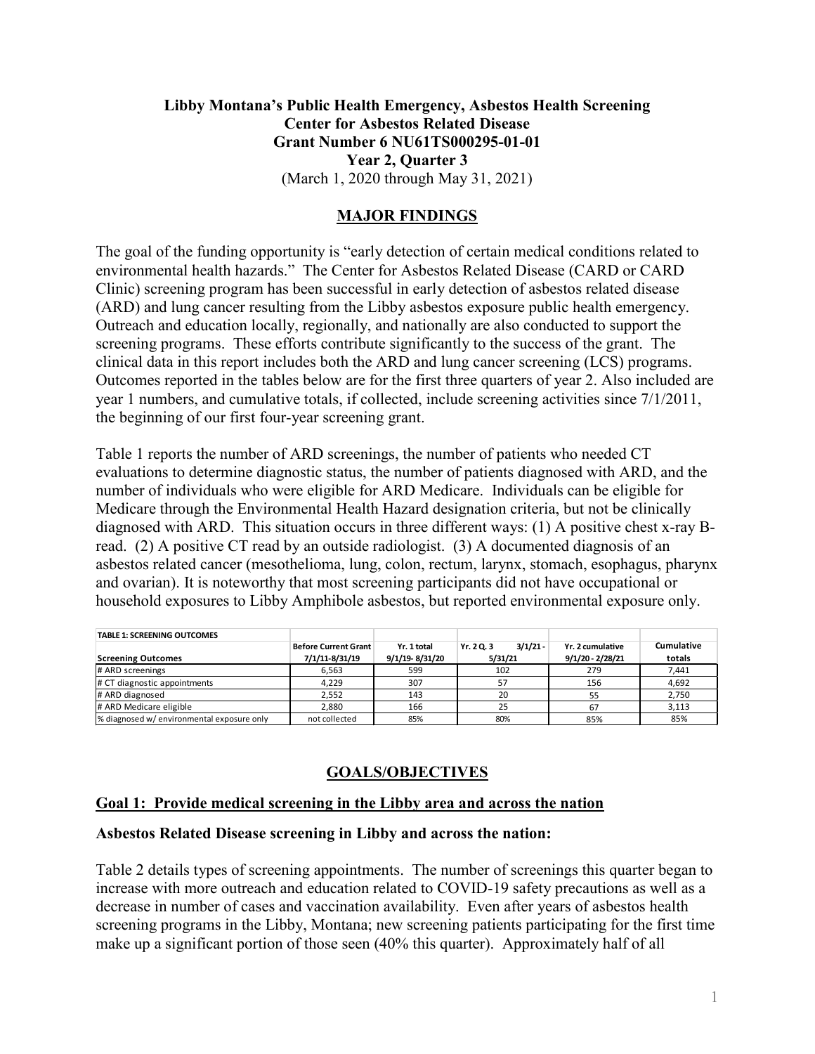## **Libby Montana's Public Health Emergency, Asbestos Health Screening Center for Asbestos Related Disease Grant Number 6 NU61TS000295-01-01 Year 2, Quarter 3** (March 1, 2020 through May 31, 2021)

## **MAJOR FINDINGS**

The goal of the funding opportunity is "early detection of certain medical conditions related to environmental health hazards." The Center for Asbestos Related Disease (CARD or CARD Clinic) screening program has been successful in early detection of asbestos related disease (ARD) and lung cancer resulting from the Libby asbestos exposure public health emergency. Outreach and education locally, regionally, and nationally are also conducted to support the screening programs. These efforts contribute significantly to the success of the grant. The clinical data in this report includes both the ARD and lung cancer screening (LCS) programs. Outcomes reported in the tables below are for the first three quarters of year 2. Also included are year 1 numbers, and cumulative totals, if collected, include screening activities since 7/1/2011, the beginning of our first four-year screening grant.

Table 1 reports the number of ARD screenings, the number of patients who needed CT evaluations to determine diagnostic status, the number of patients diagnosed with ARD, and the number of individuals who were eligible for ARD Medicare. Individuals can be eligible for Medicare through the Environmental Health Hazard designation criteria, but not be clinically diagnosed with ARD. This situation occurs in three different ways: (1) A positive chest x-ray Bread. (2) A positive CT read by an outside radiologist. (3) A documented diagnosis of an asbestos related cancer (mesothelioma, lung, colon, rectum, larynx, stomach, esophagus, pharynx and ovarian). It is noteworthy that most screening participants did not have occupational or household exposures to Libby Amphibole asbestos, but reported environmental exposure only.

| <b>TABLE 1: SCREENING OUTCOMES</b>        |                      |                |                          |                    |            |
|-------------------------------------------|----------------------|----------------|--------------------------|--------------------|------------|
|                                           | Before Current Grant | Yr. 1 total    | $3/1/21 -$<br>Yr. 2 Q. 3 | Yr. 2 cumulative   | Cumulative |
| <b>Screening Outcomes</b>                 | 7/1/11-8/31/19       | 9/1/19-8/31/20 | 5/31/21                  | $9/1/20 - 2/28/21$ | totals     |
| # ARD screenings                          | 6,563                | 599            | 102                      | 279                | 7,441      |
| # CT diagnostic appointments              | 4.229                | 307            | 57                       | 156                | 4,692      |
| # ARD diagnosed                           | 2.552                | 143            | 20                       | 55                 | 2,750      |
| # ARD Medicare eligible                   | 2.880                | 166            | 25                       | 67                 | 3,113      |
| % diagnosed w/environmental exposure only | not collected        | 85%            | 80%                      | 85%                | 85%        |

# **GOALS/OBJECTIVES**

### **Goal 1: Provide medical screening in the Libby area and across the nation**

#### **Asbestos Related Disease screening in Libby and across the nation:**

Table 2 details types of screening appointments. The number of screenings this quarter began to increase with more outreach and education related to COVID-19 safety precautions as well as a decrease in number of cases and vaccination availability. Even after years of asbestos health screening programs in the Libby, Montana; new screening patients participating for the first time make up a significant portion of those seen (40% this quarter). Approximately half of all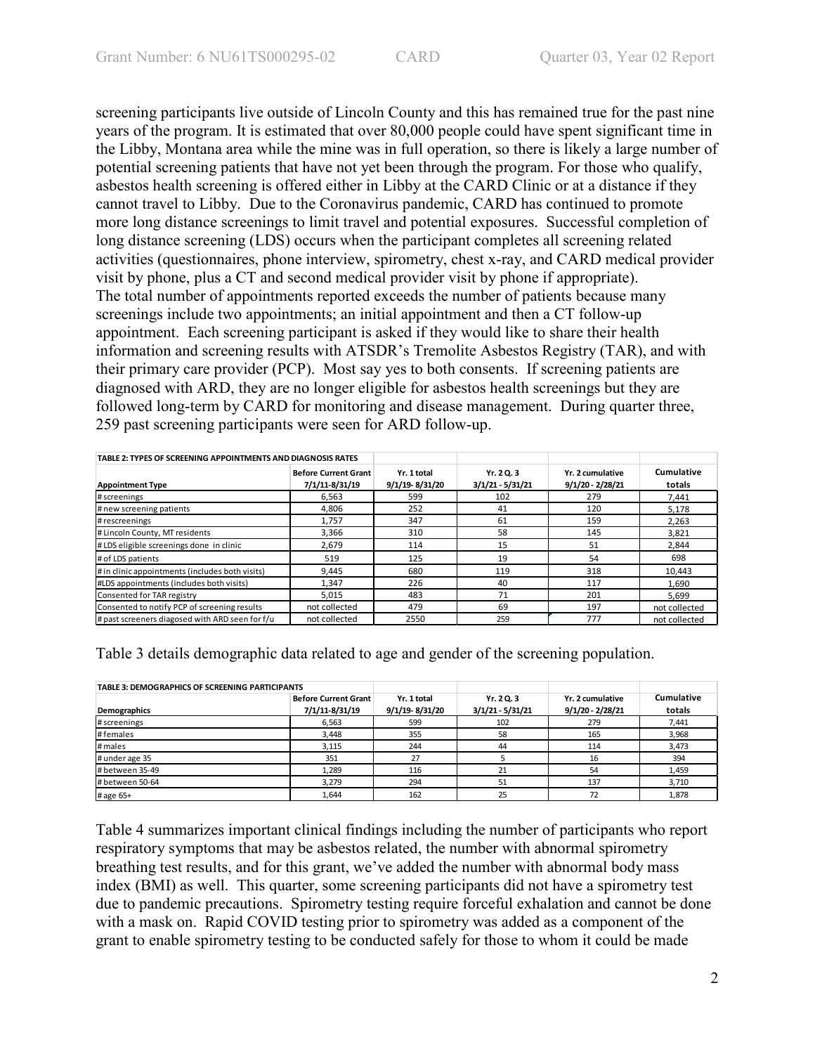screening participants live outside of Lincoln County and this has remained true for the past nine years of the program. It is estimated that over 80,000 people could have spent significant time in the Libby, Montana area while the mine was in full operation, so there is likely a large number of potential screening patients that have not yet been through the program. For those who qualify, asbestos health screening is offered either in Libby at the CARD Clinic or at a distance if they cannot travel to Libby. Due to the Coronavirus pandemic, CARD has continued to promote more long distance screenings to limit travel and potential exposures. Successful completion of long distance screening (LDS) occurs when the participant completes all screening related activities (questionnaires, phone interview, spirometry, chest x-ray, and CARD medical provider visit by phone, plus a CT and second medical provider visit by phone if appropriate). The total number of appointments reported exceeds the number of patients because many screenings include two appointments; an initial appointment and then a CT follow-up appointment. Each screening participant is asked if they would like to share their health information and screening results with ATSDR's Tremolite Asbestos Registry (TAR), and with their primary care provider (PCP). Most say yes to both consents. If screening patients are diagnosed with ARD, they are no longer eligible for asbestos health screenings but they are followed long-term by CARD for monitoring and disease management. During quarter three, 259 past screening participants were seen for ARD follow-up.

| TABLE 2: TYPES OF SCREENING APPOINTMENTS AND DIAGNOSIS RATES |                                               |                               |                                |                                        |                      |
|--------------------------------------------------------------|-----------------------------------------------|-------------------------------|--------------------------------|----------------------------------------|----------------------|
| <b>Appointment Type</b>                                      | <b>Before Current Grant</b><br>7/1/11-8/31/19 | Yr. 1 total<br>9/1/19-8/31/20 | Yr. 20.3<br>$3/1/21 - 5/31/21$ | Yr. 2 cumulative<br>$9/1/20 - 2/28/21$ | Cumulative<br>totals |
| # screenings                                                 | 6.563                                         | 599                           | 102                            | 279                                    | 7.441                |
| # new screening patients                                     | 4.806                                         | 252                           | 41                             | 120                                    | 5.178                |
| # rescreenings                                               | 1.757                                         | 347                           | 61                             | 159                                    | 2.263                |
| # Lincoln County, MT residents                               | 3,366                                         | 310                           | 58                             | 145                                    | 3.821                |
| #LDS eligible screenings done in clinic                      | 2,679                                         | 114                           | 15                             | 51                                     | 2.844                |
| # of LDS patients                                            | 519                                           | 125                           | 19                             | 54                                     | 698                  |
| # in clinic appointments (includes both visits)              | 9,445                                         | 680                           | 119                            | 318                                    | 10,443               |
| #LDS appointments (includes both visits)                     | 1,347                                         | 226                           | 40                             | 117                                    | 1,690                |
| Consented for TAR registry                                   | 5.015                                         | 483                           | 71                             | 201                                    | 5.699                |
| Consented to notify PCP of screening results                 | not collected                                 | 479                           | 69                             | 197                                    | not collected        |
| # past screeners diagosed with ARD seen for f/u              | not collected                                 | 2550                          | 259                            | 777                                    | not collected        |

Table 3 details demographic data related to age and gender of the screening population.

| <b>TABLE 3: DEMOGRAPHICS OF SCREENING PARTICIPANTS</b> |                             |                |                    |                    |            |
|--------------------------------------------------------|-----------------------------|----------------|--------------------|--------------------|------------|
|                                                        | <b>Before Current Grant</b> | Yr. 1 total    | Yr. 2 Q. 3         | Yr. 2 cumulative   | Cumulative |
| Demographics                                           | 7/1/11-8/31/19              | 9/1/19-8/31/20 | $3/1/21 - 5/31/21$ | $9/1/20 - 2/28/21$ | totals     |
| # screenings                                           | 6.563                       | 599            | 102                | 279                | 7,441      |
| #females                                               | 3.448                       | 355            | 58                 | 165                | 3,968      |
| # males                                                | 3,115                       | 244            | 44                 | 114                | 3,473      |
| # under age 35                                         | 351                         | 27             |                    | 16                 | 394        |
| # between 35-49                                        | 1,289                       | 116            | 21                 | 54                 | 1,459      |
| # between 50-64                                        | 3,279                       | 294            | 51                 | 137                | 3,710      |
| # age 65+                                              | 1,644                       | 162            | 25                 | 72                 | 1,878      |

Table 4 summarizes important clinical findings including the number of participants who report respiratory symptoms that may be asbestos related, the number with abnormal spirometry breathing test results, and for this grant, we've added the number with abnormal body mass index (BMI) as well. This quarter, some screening participants did not have a spirometry test due to pandemic precautions. Spirometry testing require forceful exhalation and cannot be done with a mask on. Rapid COVID testing prior to spirometry was added as a component of the grant to enable spirometry testing to be conducted safely for those to whom it could be made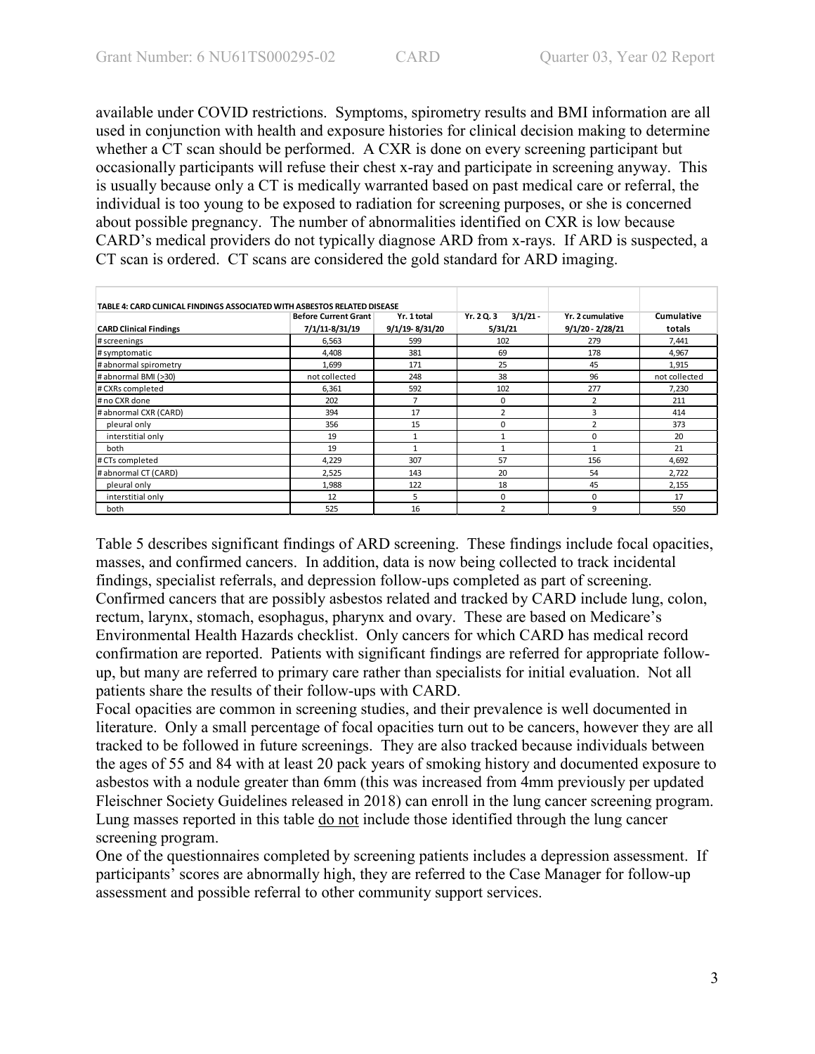available under COVID restrictions. Symptoms, spirometry results and BMI information are all used in conjunction with health and exposure histories for clinical decision making to determine whether a  $\overline{CT}$  scan should be performed. A CXR is done on every screening participant but occasionally participants will refuse their chest x-ray and participate in screening anyway. This is usually because only a CT is medically warranted based on past medical care or referral, the individual is too young to be exposed to radiation for screening purposes, or she is concerned about possible pregnancy. The number of abnormalities identified on CXR is low because CARD's medical providers do not typically diagnose ARD from x-rays. If ARD is suspected, a CT scan is ordered. CT scans are considered the gold standard for ARD imaging.

| TABLE 4: CARD CLINICAL FINDINGS ASSOCIATED WITH ASBESTOS RELATED DISEASE |                |                |                          |                    |               |
|--------------------------------------------------------------------------|----------------|----------------|--------------------------|--------------------|---------------|
| <b>Before Current Grant</b><br>Yr. 1 total                               |                |                | $3/1/21 -$<br>Yr. 2 Q. 3 | Yr. 2 cumulative   | Cumulative    |
| <b>CARD Clinical Findings</b>                                            | 7/1/11-8/31/19 | 9/1/19-8/31/20 | 5/31/21                  | $9/1/20 - 2/28/21$ | totals        |
| # screenings                                                             | 6,563          | 599            | 102                      | 279                | 7,441         |
| # symptomatic                                                            | 4,408          | 381            | 69                       | 178                | 4,967         |
| # abnormal spirometry                                                    | 1,699          | 171            | 25                       | 45                 | 1,915         |
| # abnormal BMI (>30)                                                     | not collected  | 248            | 38                       | 96                 | not collected |
| # CXRs completed                                                         | 6,361          | 592            | 102                      | 277                | 7,230         |
| # no CXR done                                                            | 202            | $\overline{7}$ | 0                        | 2                  | 211           |
| # abnormal CXR (CARD)                                                    | 394            | 17             | $\mathcal{P}$            | 3                  | 414           |
| pleural only                                                             | 356            | 15             | O                        | $\overline{2}$     | 373           |
| interstitial only                                                        | 19             | 1              |                          | 0                  | 20            |
| both                                                                     | 19             | $\mathbf{1}$   |                          | $\mathbf{1}$       | 21            |
| # CTs completed                                                          | 4,229          | 307            | 57                       | 156                | 4,692         |
| # abnormal CT (CARD)                                                     | 2,525          | 143            | 20                       | 54                 | 2,722         |
| pleural only                                                             | 1,988          | 122            | 18                       | 45                 | 2,155         |
| interstitial only                                                        | 12             | 5              | $\Omega$                 | 0                  | 17            |
| both                                                                     | 525            | 16             | C                        | 9                  | 550           |

Table 5 describes significant findings of ARD screening. These findings include focal opacities, masses, and confirmed cancers. In addition, data is now being collected to track incidental findings, specialist referrals, and depression follow-ups completed as part of screening. Confirmed cancers that are possibly asbestos related and tracked by CARD include lung, colon, rectum, larynx, stomach, esophagus, pharynx and ovary. These are based on Medicare's Environmental Health Hazards checklist. Only cancers for which CARD has medical record confirmation are reported. Patients with significant findings are referred for appropriate followup, but many are referred to primary care rather than specialists for initial evaluation. Not all patients share the results of their follow-ups with CARD.

Focal opacities are common in screening studies, and their prevalence is well documented in literature. Only a small percentage of focal opacities turn out to be cancers, however they are all tracked to be followed in future screenings. They are also tracked because individuals between the ages of 55 and 84 with at least 20 pack years of smoking history and documented exposure to asbestos with a nodule greater than 6mm (this was increased from 4mm previously per updated Fleischner Society Guidelines released in 2018) can enroll in the lung cancer screening program. Lung masses reported in this table do not include those identified through the lung cancer screening program.

One of the questionnaires completed by screening patients includes a depression assessment. If participants' scores are abnormally high, they are referred to the Case Manager for follow-up assessment and possible referral to other community support services.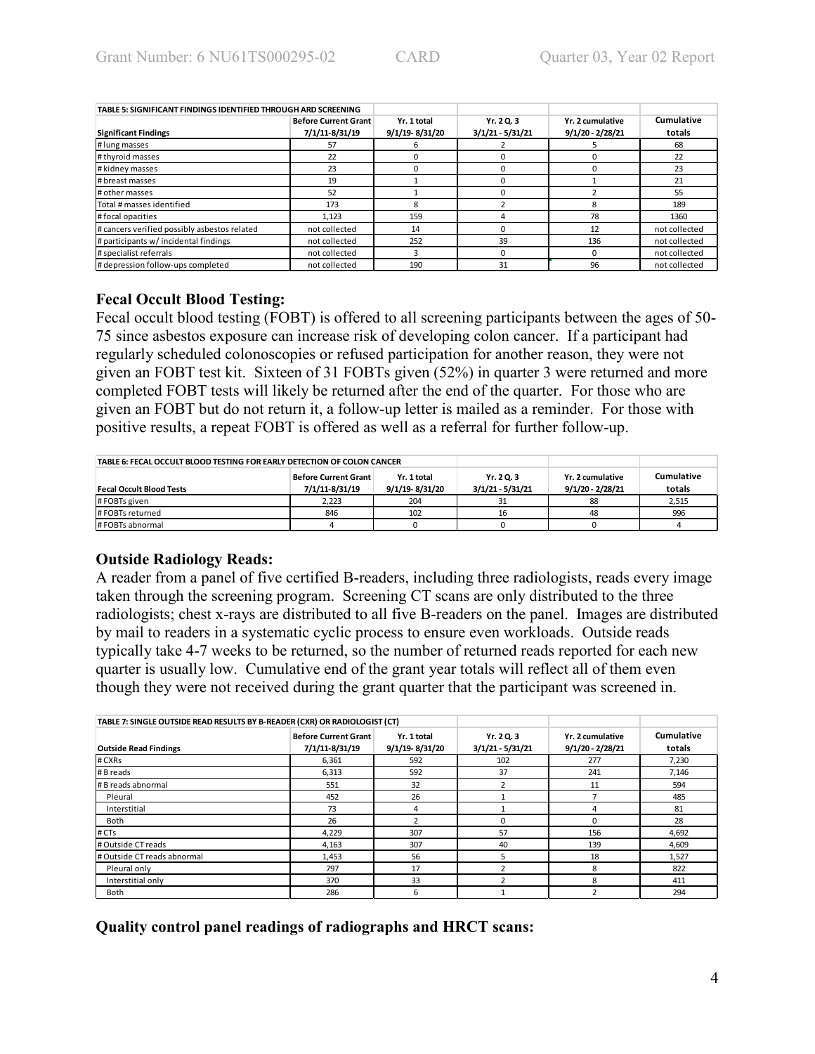| TABLE 5: SIGNIFICANT FINDINGS IDENTIFIED THROUGH ARD SCREENING |                             |                |                    |                    |               |
|----------------------------------------------------------------|-----------------------------|----------------|--------------------|--------------------|---------------|
|                                                                | <b>Before Current Grant</b> | Yr. 1 total    | Yr. 20.3           | Yr. 2 cumulative   | Cumulative    |
| <b>Significant Findings</b>                                    | 7/1/11-8/31/19              | 9/1/19-8/31/20 | $3/1/21 - 5/31/21$ | $9/1/20 - 2/28/21$ | totals        |
| # lung masses                                                  | 57                          | 6              |                    |                    | 68            |
| # thyroid masses                                               | 22                          |                |                    |                    | 22            |
| # kidney masses                                                | 23                          |                |                    |                    | 23            |
| # breast masses                                                | 19                          |                |                    |                    | 21            |
| # other masses                                                 | 52                          |                |                    |                    | 55            |
| Total # masses identified                                      | 173                         | 8              |                    | 8                  | 189           |
| # focal opacities                                              | 1.123                       | 159            |                    | 78                 | 1360          |
| # cancers verified possibly asbestos related                   | not collected               | 14             |                    | 12                 | not collected |
| # participants w/ incidental findings                          | not collected               | 252            | 39                 | 136                | not collected |
| # specialist referrals                                         | not collected               | 3              |                    | $\Omega$           | not collected |
| # depression follow-ups completed                              | not collected               | 190            | 31                 | 96                 | not collected |

### **Fecal Occult Blood Testing:**

Fecal occult blood testing (FOBT) is offered to all screening participants between the ages of 50- 75 since asbestos exposure can increase risk of developing colon cancer. If a participant had regularly scheduled colonoscopies or refused participation for another reason, they were not given an FOBT test kit. Sixteen of 31 FOBTs given (52%) in quarter 3 were returned and more completed FOBT tests will likely be returned after the end of the quarter. For those who are given an FOBT but do not return it, a follow-up letter is mailed as a reminder. For those with positive results, a repeat FOBT is offered as well as a referral for further follow-up.

| TABLE 6: FECAL OCCULT BLOOD TESTING FOR EARLY DETECTION OF COLON CANCER |                                                                                |     |    |                                      |                      |
|-------------------------------------------------------------------------|--------------------------------------------------------------------------------|-----|----|--------------------------------------|----------------------|
| <b>Fecal Occult Blood Tests</b>                                         | <b>Before Current Grant</b><br>Yr. 1 total<br>7/1/11-8/31/19<br>9/1/19-8/31/20 |     |    | Yr. 2 cumulative<br>9/1/20 - 2/28/21 | Cumulative<br>totals |
| #FOBTs given                                                            | 2.223                                                                          | 204 |    | 88                                   | 2,515                |
| #FOBTs returned                                                         | 846                                                                            | 102 | 16 | 48                                   | 996                  |
| # FOBTs abnormal                                                        |                                                                                |     |    |                                      |                      |

### **Outside Radiology Reads:**

A reader from a panel of five certified B-readers, including three radiologists, reads every image taken through the screening program. Screening CT scans are only distributed to the three radiologists; chest x-rays are distributed to all five B-readers on the panel. Images are distributed by mail to readers in a systematic cyclic process to ensure even workloads. Outside reads typically take 4-7 weeks to be returned, so the number of returned reads reported for each new quarter is usually low. Cumulative end of the grant year totals will reflect all of them even though they were not received during the grant quarter that the participant was screened in.

| TABLE 7: SINGLE OUTSIDE READ RESULTS BY B-READER (CXR) OR RADIOLOGIST (CT) |                                               |                               |                                  |                                        |                      |
|----------------------------------------------------------------------------|-----------------------------------------------|-------------------------------|----------------------------------|----------------------------------------|----------------------|
| <b>Outside Read Findings</b>                                               | <b>Before Current Grant</b><br>7/1/11-8/31/19 | Yr. 1 total<br>9/1/19-8/31/20 | Yr. 2 Q. 3<br>$3/1/21 - 5/31/21$ | Yr. 2 cumulative<br>$9/1/20 - 2/28/21$ | Cumulative<br>totals |
| # CXRs                                                                     | 6,361                                         | 592                           | 102                              | 277                                    | 7,230                |
| # B reads                                                                  | 6,313                                         | 592                           | 37                               | 241                                    | 7,146                |
| # B reads abnormal                                                         | 551                                           | 32                            |                                  | 11                                     | 594                  |
| Pleural                                                                    | 452                                           | 26                            |                                  |                                        | 485                  |
| Interstitial                                                               | 73                                            | 4                             |                                  | 4                                      | 81                   |
| Both                                                                       | 26                                            | $\overline{a}$                |                                  | $\Omega$                               | 28                   |
| # CTs                                                                      | 4,229                                         | 307                           | 57                               | 156                                    | 4,692                |
| # Outside CT reads                                                         | 4,163                                         | 307                           | 40                               | 139                                    | 4,609                |
| # Outside CT reads abnormal                                                | 1,453                                         | 56                            | 5.                               | 18                                     | 1,527                |
| Pleural only                                                               | 797                                           | 17                            |                                  | 8                                      | 822                  |
| Interstitial only                                                          | 370                                           | 33                            |                                  | 8                                      | 411                  |
| <b>Both</b>                                                                | 286                                           | 6                             |                                  |                                        | 294                  |

**Quality control panel readings of radiographs and HRCT scans:**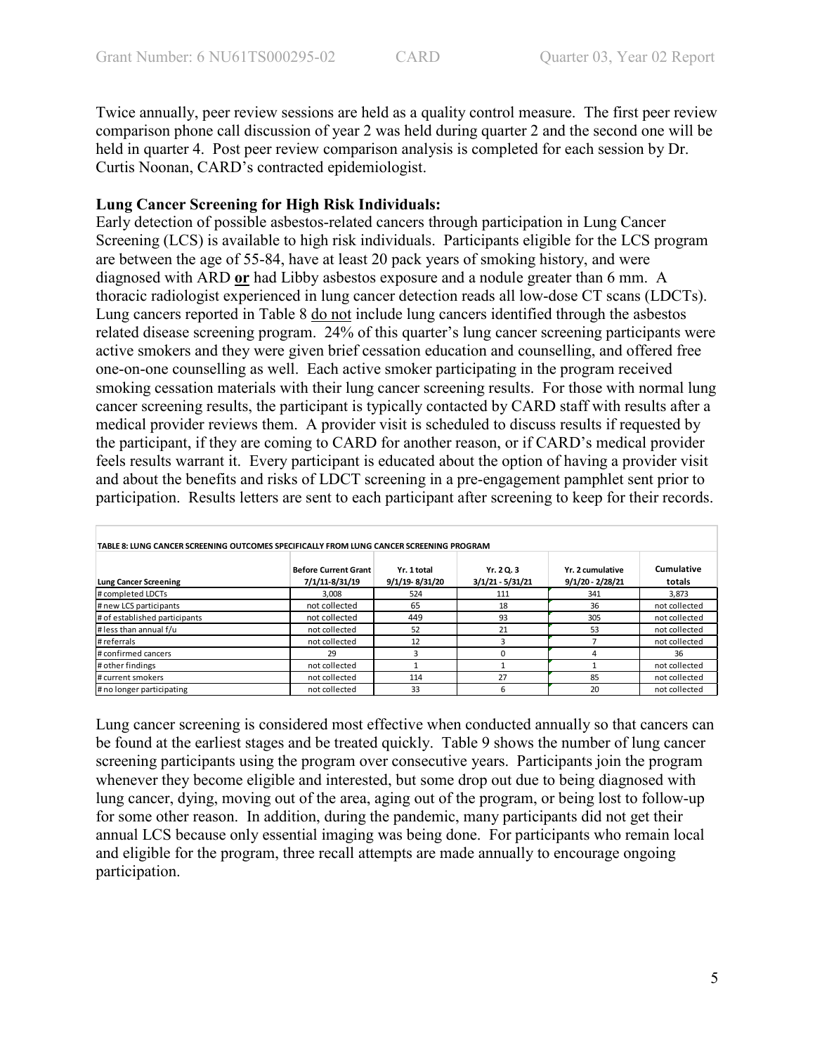Twice annually, peer review sessions are held as a quality control measure. The first peer review comparison phone call discussion of year 2 was held during quarter 2 and the second one will be held in quarter 4. Post peer review comparison analysis is completed for each session by Dr. Curtis Noonan, CARD's contracted epidemiologist.

### **Lung Cancer Screening for High Risk Individuals:**

Early detection of possible asbestos-related cancers through participation in Lung Cancer Screening (LCS) is available to high risk individuals. Participants eligible for the LCS program are between the age of 55-84, have at least 20 pack years of smoking history, and were diagnosed with ARD **or** had Libby asbestos exposure and a nodule greater than 6 mm. A thoracic radiologist experienced in lung cancer detection reads all low-dose CT scans (LDCTs). Lung cancers reported in Table 8 do not include lung cancers identified through the asbestos related disease screening program. 24% of this quarter's lung cancer screening participants were active smokers and they were given brief cessation education and counselling, and offered free one-on-one counselling as well. Each active smoker participating in the program received smoking cessation materials with their lung cancer screening results. For those with normal lung cancer screening results, the participant is typically contacted by CARD staff with results after a medical provider reviews them. A provider visit is scheduled to discuss results if requested by the participant, if they are coming to CARD for another reason, or if CARD's medical provider feels results warrant it. Every participant is educated about the option of having a provider visit and about the benefits and risks of LDCT screening in a pre-engagement pamphlet sent prior to participation. Results letters are sent to each participant after screening to keep for their records.

| TABLE 8: LUNG CANCER SCREENING OUTCOMES SPECIFICALLY FROM LUNG CANCER SCREENING PROGRAM |                                               |                               |                                  |                                        |                      |
|-----------------------------------------------------------------------------------------|-----------------------------------------------|-------------------------------|----------------------------------|----------------------------------------|----------------------|
| <b>Lung Cancer Screening</b>                                                            | <b>Before Current Grant</b><br>7/1/11-8/31/19 | Yr. 1 total<br>9/1/19-8/31/20 | Yr. 2 Q. 3<br>$3/1/21 - 5/31/21$ | Yr. 2 cumulative<br>$9/1/20 - 2/28/21$ | Cumulative<br>totals |
| # completed LDCTs                                                                       | 3,008                                         | 524                           | 111                              | 341                                    | 3,873                |
| # new LCS participants                                                                  | not collected                                 | 65                            | 18                               | 36                                     | not collected        |
| # of established participants                                                           | not collected                                 | 449                           | 93                               | 305                                    | not collected        |
| # less than annual f/u                                                                  | not collected                                 | 52                            | 21                               | 53                                     | not collected        |
| #referrals                                                                              | not collected                                 | 12                            |                                  |                                        | not collected        |
| # confirmed cancers                                                                     | 29                                            | 2                             |                                  |                                        | 36                   |
| # other findings                                                                        | not collected                                 |                               |                                  |                                        | not collected        |
| # current smokers                                                                       | not collected                                 | 114                           | 27                               | 85                                     | not collected        |
| # no longer participating                                                               | not collected                                 | 33                            | 6                                | 20                                     | not collected        |

Lung cancer screening is considered most effective when conducted annually so that cancers can be found at the earliest stages and be treated quickly. Table 9 shows the number of lung cancer screening participants using the program over consecutive years. Participants join the program whenever they become eligible and interested, but some drop out due to being diagnosed with lung cancer, dying, moving out of the area, aging out of the program, or being lost to follow-up for some other reason. In addition, during the pandemic, many participants did not get their annual LCS because only essential imaging was being done. For participants who remain local and eligible for the program, three recall attempts are made annually to encourage ongoing participation.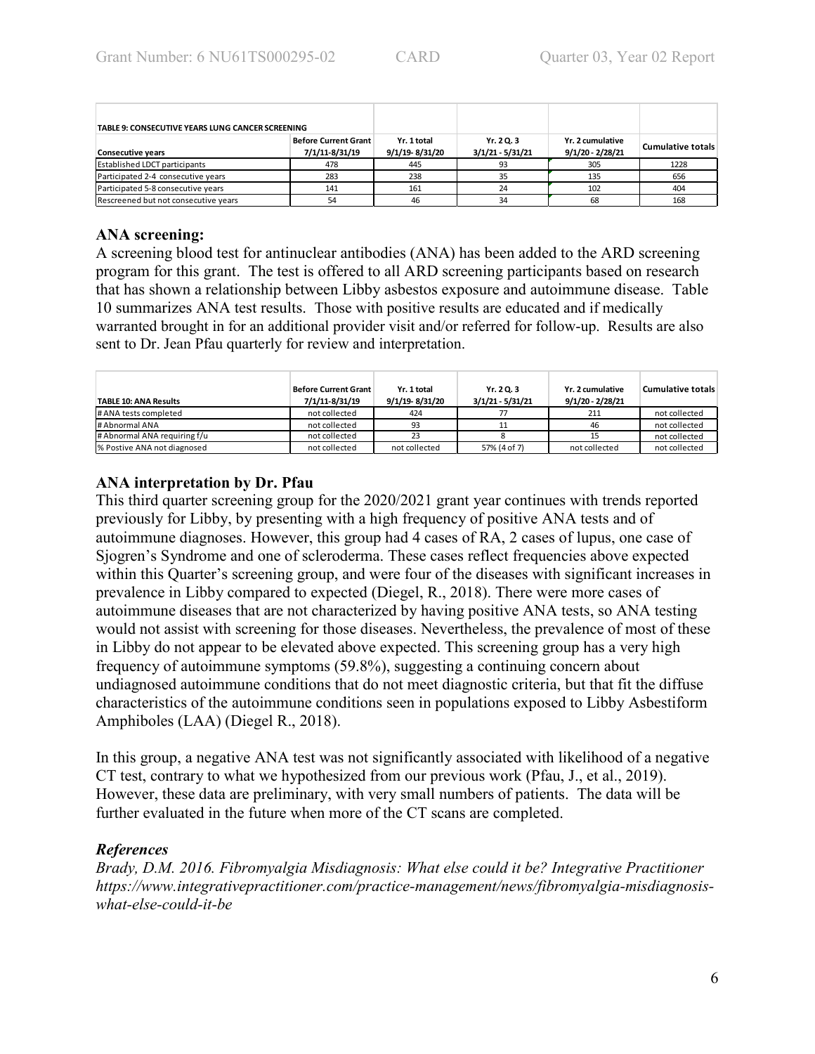| TABLE 9: CONSECUTIVE YEARS LUNG CANCER SCREENING |                                               |                               |                                  |                                        |                          |
|--------------------------------------------------|-----------------------------------------------|-------------------------------|----------------------------------|----------------------------------------|--------------------------|
| <b>Consecutive years</b>                         | <b>Before Current Grant</b><br>7/1/11-8/31/19 | Yr. 1 total<br>9/1/19-8/31/20 | Yr. 2 Q. 3<br>$3/1/21 - 5/31/21$ | Yr. 2 cumulative<br>$9/1/20 - 2/28/21$ | <b>Cumulative totals</b> |
| <b>Established LDCT participants</b>             | 478                                           | 445                           | 93                               | 305                                    | 1228                     |
| Participated 2-4 consecutive years               | 283                                           | 238                           | 35                               | 135                                    | 656                      |
| Participated 5-8 consecutive years               | 141                                           | 161                           | 24                               | 102                                    | 404                      |
| Rescreened but not consecutive vears             | 54                                            | 46                            | 34                               | 68                                     | 168                      |

## **ANA screening:**

A screening blood test for antinuclear antibodies (ANA) has been added to the ARD screening program for this grant. The test is offered to all ARD screening participants based on research that has shown a relationship between Libby asbestos exposure and autoimmune disease. Table 10 summarizes ANA test results. Those with positive results are educated and if medically warranted brought in for an additional provider visit and/or referred for follow-up. Results are also sent to Dr. Jean Pfau quarterly for review and interpretation.

| <b>TABLE 10: ANA Results</b> | <b>Before Current Grant</b><br>7/1/11-8/31/19 | Yr. 1 total<br>9/1/19-8/31/20 | Yr. 20.3<br>$3/1/21 - 5/31/21$ | Yr. 2 cumulative<br>9/1/20 - 2/28/21 | <b>Cumulative totals</b> |
|------------------------------|-----------------------------------------------|-------------------------------|--------------------------------|--------------------------------------|--------------------------|
| # ANA tests completed        | not collected                                 | 424                           |                                | 211                                  | not collected            |
| # Abnormal ANA               | not collected                                 | 93                            |                                | 46                                   | not collected            |
| # Abnormal ANA requiring f/u | not collected                                 | 23                            |                                |                                      | not collected            |
| % Postive ANA not diagnosed  | not collected                                 | not collected                 | 57% (4 of 7)                   | not collected                        | not collected            |

# **ANA interpretation by Dr. Pfau**

This third quarter screening group for the 2020/2021 grant year continues with trends reported previously for Libby, by presenting with a high frequency of positive ANA tests and of autoimmune diagnoses. However, this group had 4 cases of RA, 2 cases of lupus, one case of Sjogren's Syndrome and one of scleroderma. These cases reflect frequencies above expected within this Quarter's screening group, and were four of the diseases with significant increases in prevalence in Libby compared to expected (Diegel, R., 2018). There were more cases of autoimmune diseases that are not characterized by having positive ANA tests, so ANA testing would not assist with screening for those diseases. Nevertheless, the prevalence of most of these in Libby do not appear to be elevated above expected. This screening group has a very high frequency of autoimmune symptoms (59.8%), suggesting a continuing concern about undiagnosed autoimmune conditions that do not meet diagnostic criteria, but that fit the diffuse characteristics of the autoimmune conditions seen in populations exposed to Libby Asbestiform Amphiboles (LAA) (Diegel R., 2018).

In this group, a negative ANA test was not significantly associated with likelihood of a negative CT test, contrary to what we hypothesized from our previous work (Pfau, J., et al., 2019). However, these data are preliminary, with very small numbers of patients. The data will be further evaluated in the future when more of the CT scans are completed.

# *References*

*Brady, D.M. 2016. Fibromyalgia Misdiagnosis: What else could it be? Integrative Practitioner https://www.integrativepractitioner.com/practice-management/news/fibromyalgia-misdiagnosiswhat-else-could-it-be*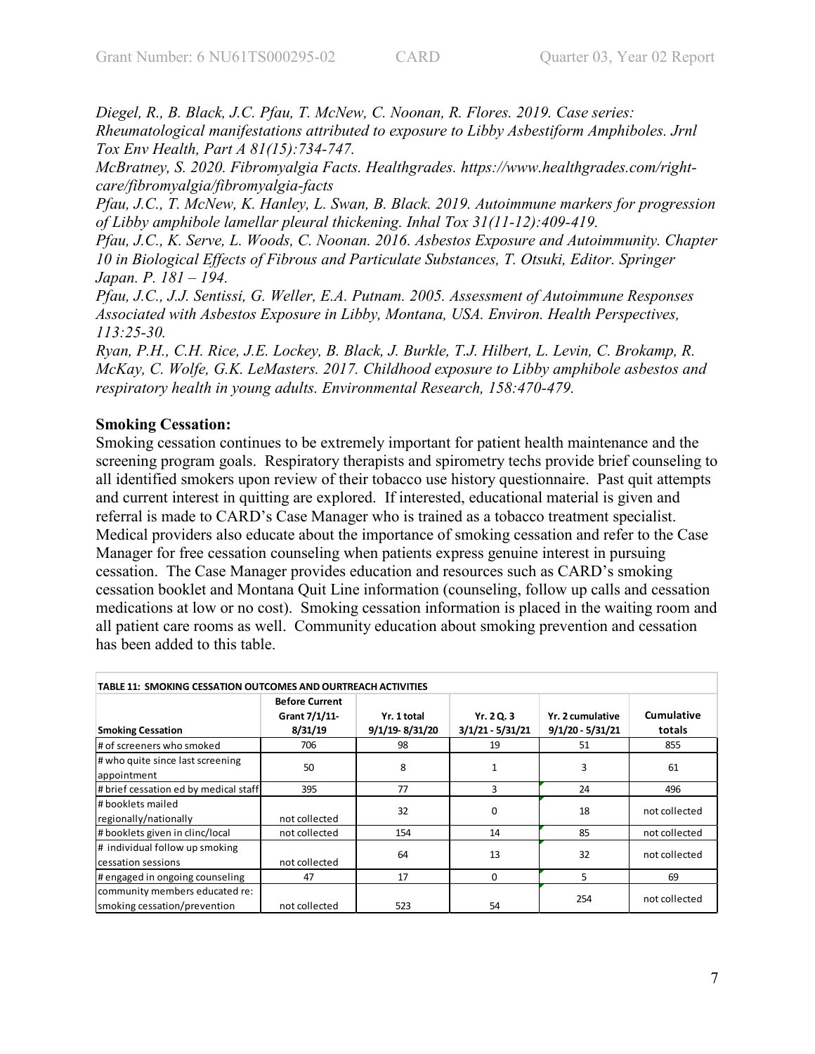*Diegel, R., B. Black, J.C. Pfau, T. McNew, C. Noonan, R. Flores. 2019. Case series: Rheumatological manifestations attributed to exposure to Libby Asbestiform Amphiboles. Jrnl Tox Env Health, Part A 81(15):734-747.*

*McBratney, S. 2020. Fibromyalgia Facts. Healthgrades. https://www.healthgrades.com/rightcare/fibromyalgia/fibromyalgia-facts*

*Pfau, J.C., T. McNew, K. Hanley, L. Swan, B. Black. 2019. Autoimmune markers for progression of Libby amphibole lamellar pleural thickening. Inhal Tox 31(11-12):409-419.*

*Pfau, J.C., K. Serve, L. Woods, C. Noonan. 2016. Asbestos Exposure and Autoimmunity. Chapter 10 in Biological Effects of Fibrous and Particulate Substances, T. Otsuki, Editor. Springer Japan. P. 181 – 194.*

*Pfau, J.C., J.J. Sentissi, G. Weller, E.A. Putnam. 2005. Assessment of Autoimmune Responses Associated with Asbestos Exposure in Libby, Montana, USA. Environ. Health Perspectives, 113:25-30.*

*Ryan, P.H., C.H. Rice, J.E. Lockey, B. Black, J. Burkle, T.J. Hilbert, L. Levin, C. Brokamp, R. McKay, C. Wolfe, G.K. LeMasters. 2017. Childhood exposure to Libby amphibole asbestos and respiratory health in young adults. Environmental Research, 158:470-479.*

## **Smoking Cessation:**

Smoking cessation continues to be extremely important for patient health maintenance and the screening program goals. Respiratory therapists and spirometry techs provide brief counseling to all identified smokers upon review of their tobacco use history questionnaire. Past quit attempts and current interest in quitting are explored. If interested, educational material is given and referral is made to CARD's Case Manager who is trained as a tobacco treatment specialist. Medical providers also educate about the importance of smoking cessation and refer to the Case Manager for free cessation counseling when patients express genuine interest in pursuing cessation. The Case Manager provides education and resources such as CARD's smoking cessation booklet and Montana Quit Line information (counseling, follow up calls and cessation medications at low or no cost). Smoking cessation information is placed in the waiting room and all patient care rooms as well. Community education about smoking prevention and cessation has been added to this table.

| TABLE 11: SMOKING CESSATION OUTCOMES AND OURTREACH ACTIVITIES  |                                                   |                               |                                  |                                        |                      |  |  |  |  |
|----------------------------------------------------------------|---------------------------------------------------|-------------------------------|----------------------------------|----------------------------------------|----------------------|--|--|--|--|
| <b>Smoking Cessation</b>                                       | <b>Before Current</b><br>Grant 7/1/11-<br>8/31/19 | Yr. 1 total<br>9/1/19-8/31/20 | Yr. 2 Q. 3<br>$3/1/21 - 5/31/21$ | Yr. 2 cumulative<br>$9/1/20 - 5/31/21$ | Cumulative<br>totals |  |  |  |  |
| # of screeners who smoked                                      | 706                                               | 98                            | 19                               | 51                                     | 855                  |  |  |  |  |
| # who quite since last screening<br>appointment                | 50                                                | 8                             |                                  | 3                                      | 61                   |  |  |  |  |
| # brief cessation ed by medical staff                          | 395                                               | 77                            | 3                                | 24                                     | 496                  |  |  |  |  |
| l# booklets mailed<br>regionally/nationally                    | not collected                                     | 32                            | 0                                | 18                                     | not collected        |  |  |  |  |
| #booklets given in clinc/local                                 | not collected                                     | 154                           | 14                               | 85                                     | not collected        |  |  |  |  |
| # individual follow up smoking<br>cessation sessions           | not collected                                     | 64                            | 13                               | 32                                     | not collected        |  |  |  |  |
| # engaged in ongoing counseling                                | 47                                                | 17                            | 0                                | 5                                      | 69                   |  |  |  |  |
| community members educated re:<br>smoking cessation/prevention | not collected                                     | 523                           | 54                               | 254                                    | not collected        |  |  |  |  |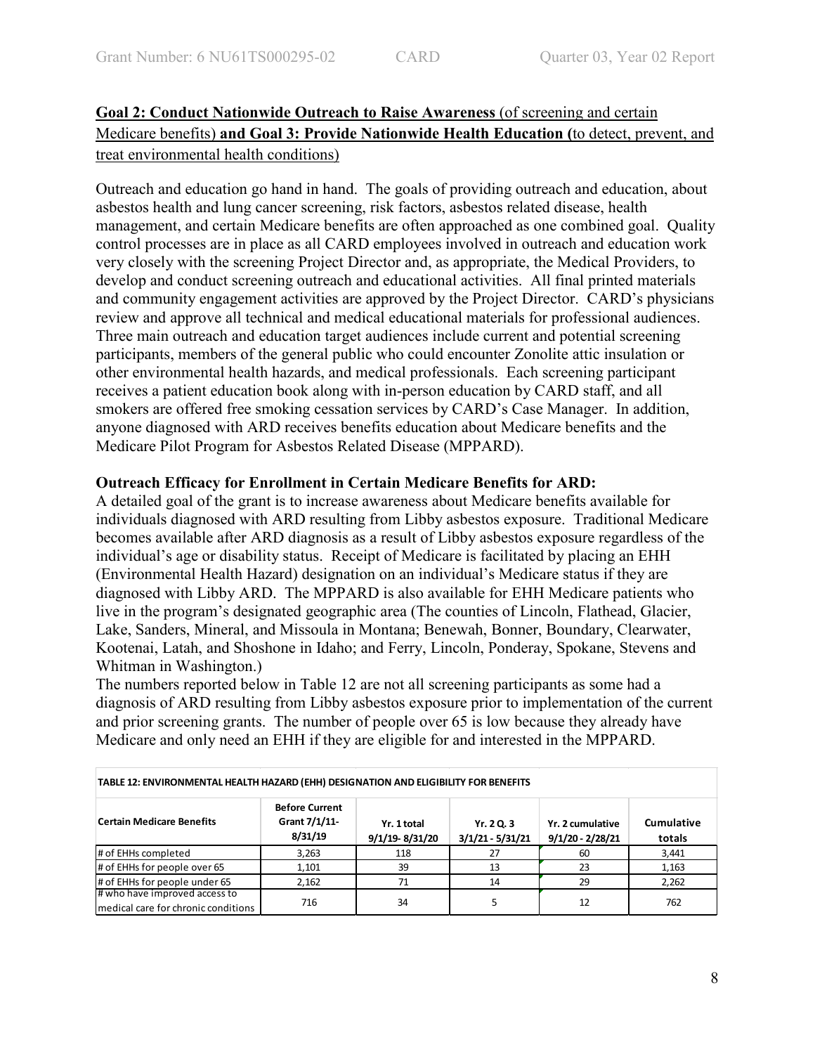# **Goal 2: Conduct Nationwide Outreach to Raise Awareness** (of screening and certain Medicare benefits) **and Goal 3: Provide Nationwide Health Education (**to detect, prevent, and treat environmental health conditions)

Outreach and education go hand in hand. The goals of providing outreach and education, about asbestos health and lung cancer screening, risk factors, asbestos related disease, health management, and certain Medicare benefits are often approached as one combined goal. Quality control processes are in place as all CARD employees involved in outreach and education work very closely with the screening Project Director and, as appropriate, the Medical Providers, to develop and conduct screening outreach and educational activities. All final printed materials and community engagement activities are approved by the Project Director. CARD's physicians review and approve all technical and medical educational materials for professional audiences. Three main outreach and education target audiences include current and potential screening participants, members of the general public who could encounter Zonolite attic insulation or other environmental health hazards, and medical professionals. Each screening participant receives a patient education book along with in-person education by CARD staff, and all smokers are offered free smoking cessation services by CARD's Case Manager. In addition, anyone diagnosed with ARD receives benefits education about Medicare benefits and the Medicare Pilot Program for Asbestos Related Disease (MPPARD).

## **Outreach Efficacy for Enrollment in Certain Medicare Benefits for ARD:**

A detailed goal of the grant is to increase awareness about Medicare benefits available for individuals diagnosed with ARD resulting from Libby asbestos exposure. Traditional Medicare becomes available after ARD diagnosis as a result of Libby asbestos exposure regardless of the individual's age or disability status. Receipt of Medicare is facilitated by placing an EHH (Environmental Health Hazard) designation on an individual's Medicare status if they are diagnosed with Libby ARD. The MPPARD is also available for EHH Medicare patients who live in the program's designated geographic area (The counties of Lincoln, Flathead, Glacier, Lake, Sanders, Mineral, and Missoula in Montana; Benewah, Bonner, Boundary, Clearwater, Kootenai, Latah, and Shoshone in Idaho; and Ferry, Lincoln, Ponderay, Spokane, Stevens and Whitman in Washington.)

The numbers reported below in Table 12 are not all screening participants as some had a diagnosis of ARD resulting from Libby asbestos exposure prior to implementation of the current and prior screening grants. The number of people over 65 is low because they already have Medicare and only need an EHH if they are eligible for and interested in the MPPARD.

| TABLE 12: ENVIRONMENTAL HEALTH HAZARD (EHH) DESIGNATION AND ELIGIBILITY FOR BENEFITS |                                                   |                               |                                |                                        |                             |  |  |  |  |
|--------------------------------------------------------------------------------------|---------------------------------------------------|-------------------------------|--------------------------------|----------------------------------------|-----------------------------|--|--|--|--|
| <b>Certain Medicare Benefits</b>                                                     | <b>Before Current</b><br>Grant 7/1/11-<br>8/31/19 | Yr. 1 total<br>9/1/19-8/31/20 | Yr. 20.3<br>$3/1/21 - 5/31/21$ | Yr. 2 cumulative<br>$9/1/20 - 2/28/21$ | <b>Cumulative</b><br>totals |  |  |  |  |
| # of EHHs completed                                                                  | 3,263                                             | 118                           | 27                             | 60                                     | 3,441                       |  |  |  |  |
| # of EHHs for people over 65                                                         | 1.101                                             | 39                            | 13                             | 23                                     | 1,163                       |  |  |  |  |
| # of EHHs for people under 65                                                        | 2,162                                             | 71                            | 14                             | 29                                     | 2,262                       |  |  |  |  |
| # who have improved access to<br>medical care for chronic conditions                 | 716                                               | 34                            |                                | 12                                     | 762                         |  |  |  |  |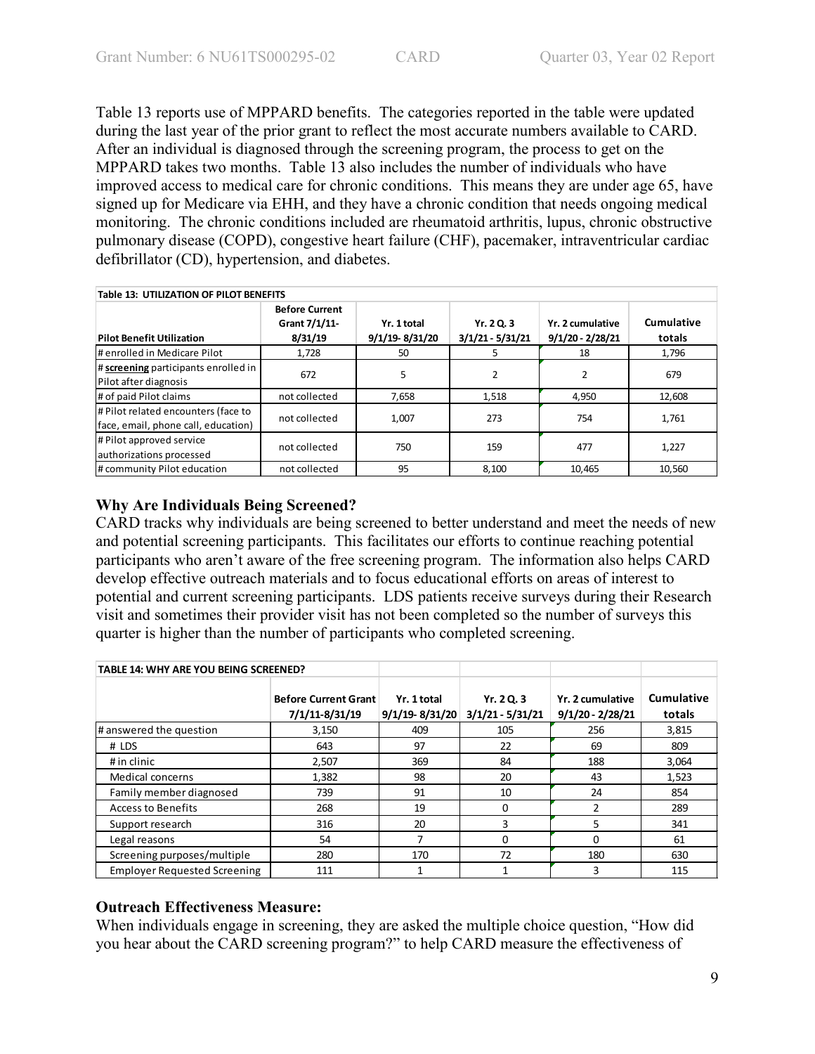Table 13 reports use of MPPARD benefits. The categories reported in the table were updated during the last year of the prior grant to reflect the most accurate numbers available to CARD. After an individual is diagnosed through the screening program, the process to get on the MPPARD takes two months. Table 13 also includes the number of individuals who have improved access to medical care for chronic conditions. This means they are under age 65, have signed up for Medicare via EHH, and they have a chronic condition that needs ongoing medical monitoring. The chronic conditions included are rheumatoid arthritis, lupus, chronic obstructive pulmonary disease (COPD), congestive heart failure (CHF), pacemaker, intraventricular cardiac defibrillator (CD), hypertension, and diabetes.

| <b>Table 13: UTILIZATION OF PILOT BENEFITS</b>                             |                                                   |                               |                                  |                                        |                      |  |  |
|----------------------------------------------------------------------------|---------------------------------------------------|-------------------------------|----------------------------------|----------------------------------------|----------------------|--|--|
| <b>Pilot Benefit Utilization</b>                                           | <b>Before Current</b><br>Grant 7/1/11-<br>8/31/19 | Yr. 1 total<br>9/1/19-8/31/20 | Yr. 2 Q. 3<br>$3/1/21 - 5/31/21$ | Yr. 2 cumulative<br>$9/1/20 - 2/28/21$ | Cumulative<br>totals |  |  |
| #enrolled in Medicare Pilot                                                | 1,728                                             | 50                            | 5                                | 18                                     | 1,796                |  |  |
| $\#$ screening participants enrolled in<br>Pilot after diagnosis           | 672                                               | 5                             | 2                                |                                        | 679                  |  |  |
| # of paid Pilot claims                                                     | not collected                                     | 7,658                         | 1,518                            | 4,950                                  | 12,608               |  |  |
| # Pilot related encounters (face to<br>face, email, phone call, education) | not collected                                     | 1.007                         | 273                              | 754                                    | 1.761                |  |  |
| # Pilot approved service<br>authorizations processed                       | not collected                                     | 750                           | 159                              | 477                                    | 1,227                |  |  |
| # community Pilot education                                                | not collected                                     | 95                            | 8.100                            | 10.465                                 | 10.560               |  |  |

# **Why Are Individuals Being Screened?**

CARD tracks why individuals are being screened to better understand and meet the needs of new and potential screening participants. This facilitates our efforts to continue reaching potential participants who aren't aware of the free screening program. The information also helps CARD develop effective outreach materials and to focus educational efforts on areas of interest to potential and current screening participants. LDS patients receive surveys during their Research visit and sometimes their provider visit has not been completed so the number of surveys this quarter is higher than the number of participants who completed screening.

| <b>TABLE 14: WHY ARE YOU BEING SCREENED?</b> |                                               |                                   |                                  |                                        |                      |
|----------------------------------------------|-----------------------------------------------|-----------------------------------|----------------------------------|----------------------------------------|----------------------|
|                                              | <b>Before Current Grant</b><br>7/1/11-8/31/19 | Yr. 1 total<br>$9/1/19 - 8/31/20$ | Yr. 2 Q. 3<br>$3/1/21 - 5/31/21$ | Yr. 2 cumulative<br>$9/1/20 - 2/28/21$ | Cumulative<br>totals |
| # answered the question                      | 3,150                                         | 409                               | 105                              | 256                                    | 3,815                |
| # LDS                                        | 643                                           | 97                                | 22                               | 69                                     | 809                  |
| # in clinic                                  | 2,507                                         | 369                               | 84                               | 188                                    | 3,064                |
| Medical concerns                             | 1,382                                         | 98                                | 20                               | 43                                     | 1,523                |
| Family member diagnosed                      | 739                                           | 91                                | 10                               | 24                                     | 854                  |
| <b>Access to Benefits</b>                    | 268                                           | 19                                | $\Omega$                         | 2                                      | 289                  |
| Support research                             | 316                                           | 20                                | 3                                | 5                                      | 341                  |
| Legal reasons                                | 54                                            | 7                                 | 0                                | 0                                      | 61                   |
| Screening purposes/multiple                  | 280                                           | 170                               | 72                               | 180                                    | 630                  |
| <b>Employer Requested Screening</b>          | 111                                           |                                   |                                  | 3                                      | 115                  |

# **Outreach Effectiveness Measure:**

When individuals engage in screening, they are asked the multiple choice question, "How did you hear about the CARD screening program?" to help CARD measure the effectiveness of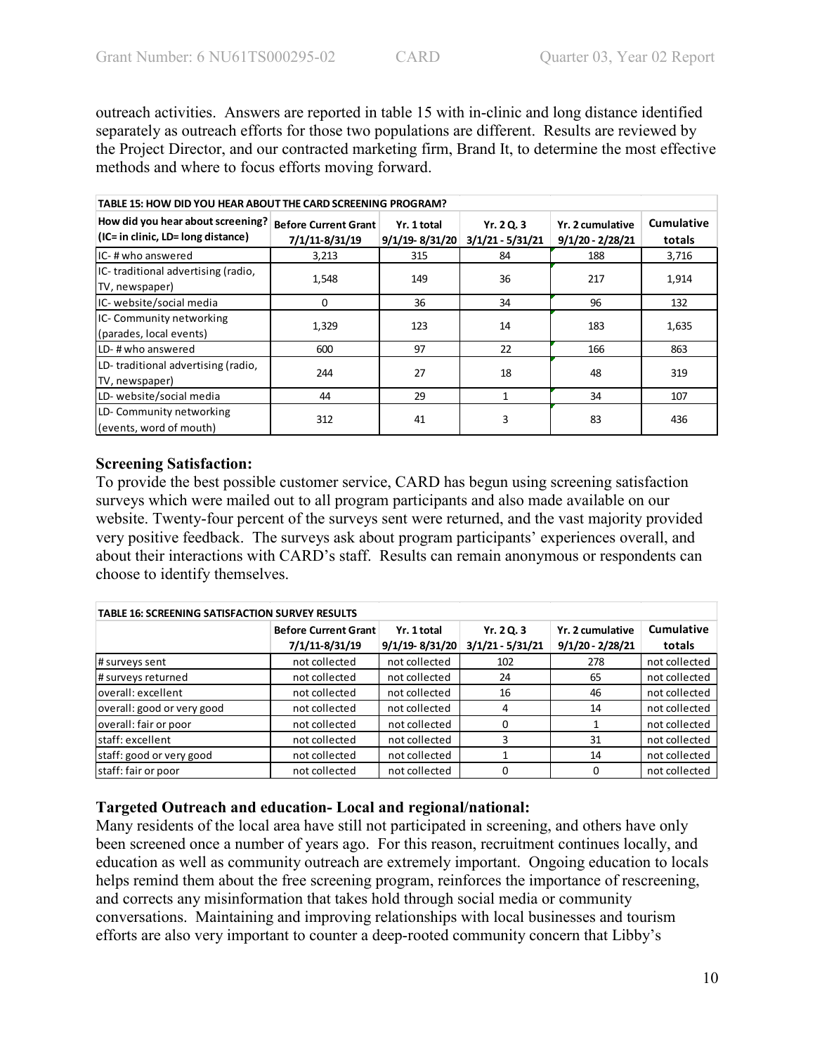outreach activities. Answers are reported in table 15 with in-clinic and long distance identified separately as outreach efforts for those two populations are different. Results are reviewed by the Project Director, and our contracted marketing firm, Brand It, to determine the most effective methods and where to focus efforts moving forward.

| TABLE 15: HOW DID YOU HEAR ABOUT THE CARD SCREENING PROGRAM?            |                                               |                                   |                                  |                                        |                      |  |  |  |
|-------------------------------------------------------------------------|-----------------------------------------------|-----------------------------------|----------------------------------|----------------------------------------|----------------------|--|--|--|
| How did you hear about screening?<br>(IC= in clinic, LD= long distance) | <b>Before Current Grant</b><br>7/1/11-8/31/19 | Yr. 1 total<br>$9/1/19 - 8/31/20$ | Yr. 2 Q. 3<br>$3/1/21 - 5/31/21$ | Yr. 2 cumulative<br>$9/1/20 - 2/28/21$ | Cumulative<br>totals |  |  |  |
| IC-#who answered                                                        | 3,213                                         | 315                               | 84                               | 188                                    | 3,716                |  |  |  |
| IC-traditional advertising (radio,<br>TV, newspaper)                    | 1,548                                         | 149                               | 36                               | 217                                    | 1,914                |  |  |  |
| IC- website/social media                                                | 0                                             | 36                                | 34                               | 96                                     | 132                  |  |  |  |
| IC- Community networking<br>(parades, local events)                     | 1,329                                         | 123                               | 14                               | 183                                    | 1,635                |  |  |  |
| LD-#who answered                                                        | 600                                           | 97                                | 22                               | 166                                    | 863                  |  |  |  |
| LD-traditional advertising (radio,<br>TV, newspaper)                    | 244                                           | 27                                | 18                               | 48                                     | 319                  |  |  |  |
| LD- website/social media                                                | 44                                            | 29                                |                                  | 34                                     | 107                  |  |  |  |
| LD-Community networking<br>(events, word of mouth)                      | 312                                           | 41                                | 3                                | 83                                     | 436                  |  |  |  |

## **Screening Satisfaction:**

To provide the best possible customer service, CARD has begun using screening satisfaction surveys which were mailed out to all program participants and also made available on our website. Twenty-four percent of the surveys sent were returned, and the vast majority provided very positive feedback. The surveys ask about program participants' experiences overall, and about their interactions with CARD's staff. Results can remain anonymous or respondents can choose to identify themselves.

| <b>TABLE 16: SCREENING SATISFACTION SURVEY RESULTS</b> |                                               |                                   |                                |                                        |                             |  |  |  |
|--------------------------------------------------------|-----------------------------------------------|-----------------------------------|--------------------------------|----------------------------------------|-----------------------------|--|--|--|
|                                                        | <b>Before Current Grant</b><br>7/1/11-8/31/19 | Yr. 1 total<br>$9/1/19 - 8/31/20$ | Yr. 20.3<br>$3/1/21 - 5/31/21$ | Yr. 2 cumulative<br>$9/1/20 - 2/28/21$ | <b>Cumulative</b><br>totals |  |  |  |
| # surveys sent                                         | not collected                                 | not collected                     | 102                            | 278                                    | not collected               |  |  |  |
| # surveys returned                                     | not collected                                 | not collected                     | 24                             | 65                                     | not collected               |  |  |  |
| loverall: excellent                                    | not collected                                 | not collected                     | 16                             | 46                                     | not collected               |  |  |  |
| overall: good or very good                             | not collected                                 | not collected                     | 4                              | 14                                     | not collected               |  |  |  |
| overall: fair or poor                                  | not collected                                 | not collected                     | O                              |                                        | not collected               |  |  |  |
| lstaff: excellent                                      | not collected                                 | not collected                     |                                | 31                                     | not collected               |  |  |  |
| staff: good or very good                               | not collected                                 | not collected                     |                                | 14                                     | not collected               |  |  |  |
| staff: fair or poor                                    | not collected                                 | not collected                     |                                | 0                                      | not collected               |  |  |  |

# **Targeted Outreach and education- Local and regional/national:**

Many residents of the local area have still not participated in screening, and others have only been screened once a number of years ago. For this reason, recruitment continues locally, and education as well as community outreach are extremely important. Ongoing education to locals helps remind them about the free screening program, reinforces the importance of rescreening, and corrects any misinformation that takes hold through social media or community conversations. Maintaining and improving relationships with local businesses and tourism efforts are also very important to counter a deep-rooted community concern that Libby's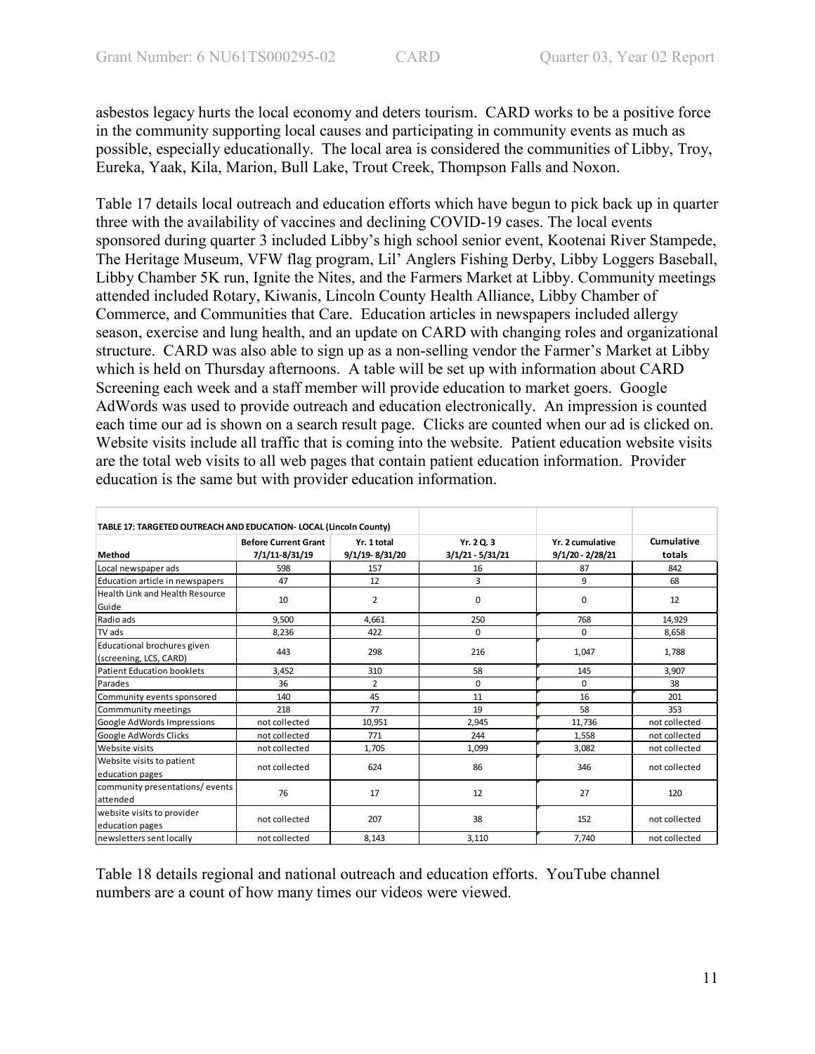asbestos legacy hurts the local economy and deters tourism. CARD works to be a positive force in the community supporting local causes and participating in community events as much as possible, especially educationally. The local area is considered the communities of Libby, Troy, Eureka, Yaak, Kila, Marion, Bull Lake, Trout Creek, Thompson Falls and Noxon.

Table 17 details local outreach and education efforts which have begun to pick back up in quarter three with the availability of vaccines and declining COVID-19 cases. The local events sponsored during quarter 3 included Libby's high school senior event, Kootenai River Stampede, The Heritage Museum, VFW flag program, Lil' Anglers Fishing Derby, Libby Loggers Baseball, Libby Chamber 5K run, Ignite the Nites, and the Farmers Market at Libby. Community meetings attended included Rotary, Kiwanis, Lincoln County Health Alliance, Libby Chamber of Commerce, and Communities that Care. Education articles in newspapers included allergy season, exercise and lung health, and an update on CARD with changing roles and organizational structure. CARD was also able to sign up as a non-selling vendor the Farmer's Market at Libby which is held on Thursday afternoons. A table will be set up with information about CARD Screening each week and a staff member will provide education to market goers. Google AdWords was used to provide outreach and education electronically. An impression is counted each time our ad is shown on a search result page. Clicks are counted when our ad is clicked on. Website visits include all traffic that is coming into the website. Patient education website visits are the total web visits to all web pages that contain patient education information. Provider education is the same but with provider education information.

| TABLE 17: TARGETED OUTREACH AND EDUCATION- LOCAL (Lincoln County) |                                               |                               |                                 |                                        |                      |
|-------------------------------------------------------------------|-----------------------------------------------|-------------------------------|---------------------------------|----------------------------------------|----------------------|
| Method                                                            | <b>Before Current Grant</b><br>7/1/11-8/31/19 | Yr. 1 total<br>9/1/19-8/31/20 | Yr. 2Q. 3<br>$3/1/21 - 5/31/21$ | Yr. 2 cumulative<br>$9/1/20 - 2/28/21$ | Cumulative<br>totals |
| Local newspaper ads                                               | 598                                           | 157                           | 16                              | 87                                     | 842                  |
| Education article in newspapers                                   | 47                                            | 12                            | 3                               | 9                                      | 68                   |
| <b>Health Link and Health Resource</b><br>Guide                   | 10                                            | $\overline{2}$                | 0                               | 0                                      | 12                   |
| Radio ads                                                         | 9,500                                         | 4,661                         | 250                             | 768                                    | 14,929               |
| TV ads                                                            | 8,236                                         | 422                           | 0                               | $\mathbf 0$                            | 8,658                |
| Educational brochures given<br>(screening, LCS, CARD)             | 443                                           | 298                           | 216                             | 1,047                                  | 1,788                |
| <b>Patient Education booklets</b>                                 | 3,452                                         | 310                           | 58                              | 145                                    | 3,907                |
| Parades                                                           | 36                                            | $\overline{2}$                | $\Omega$                        | $\Omega$                               | 38                   |
| Community events sponsored                                        | 140                                           | 45                            | 11                              | 16                                     | 201                  |
| Commmunity meetings                                               | 218                                           | 77                            | 19                              | 58                                     | 353                  |
| Google AdWords Impressions                                        | not collected                                 | 10,951                        | 2,945                           | 11,736                                 | not collected        |
| Google AdWords Clicks                                             | not collected                                 | 771                           | 244                             | 1,558                                  | not collected        |
| <b>Website visits</b>                                             | not collected                                 | 1,705                         | 1,099                           | 3,082                                  | not collected        |
| Website visits to patient<br>education pages                      | not collected                                 | 624                           | 86                              | 346                                    | not collected        |
| community presentations/events<br>lattended                       | 76                                            | 17                            | 12                              | 27                                     | 120                  |
| website visits to provider<br>education pages                     | not collected                                 | 207                           | 38                              | 152                                    | not collected        |
| newsletters sent locally                                          | not collected                                 | 8,143                         | 3,110                           | 7,740                                  | not collected        |

Table 18 details regional and national outreach and education efforts. YouTube channel numbers are a count of how many times our videos were viewed.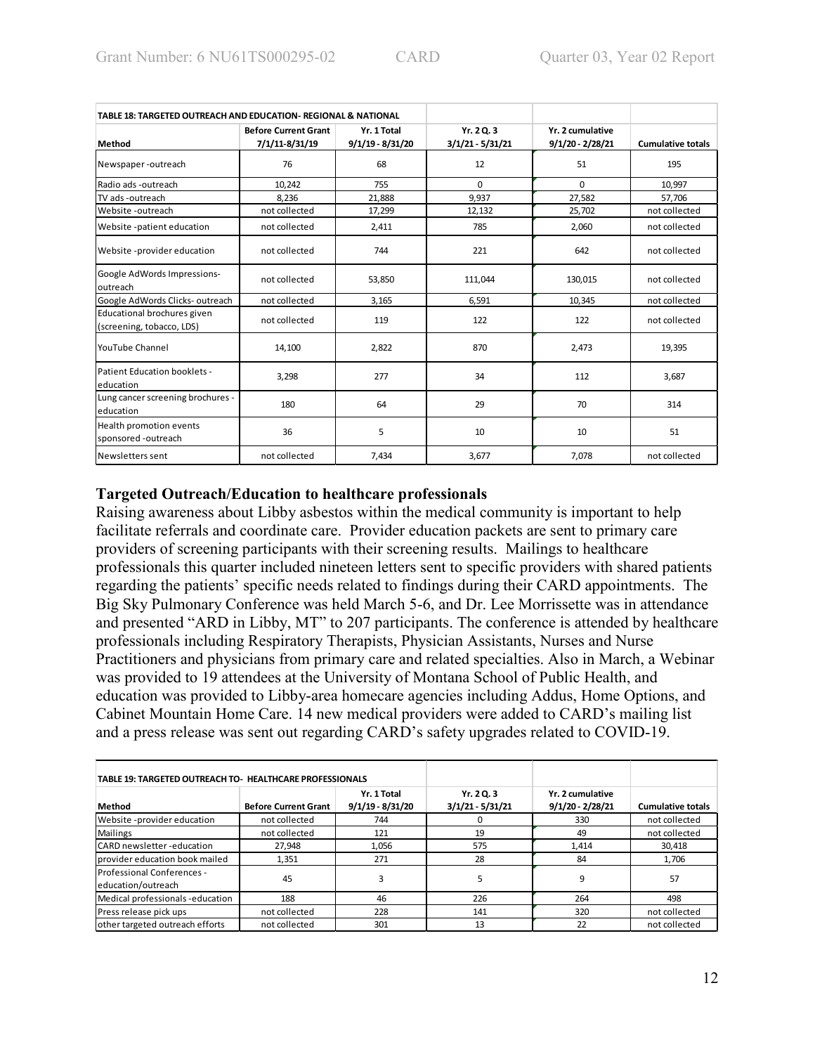| TABLE 18: TARGETED OUTREACH AND EDUCATION- REGIONAL & NATIONAL |                                               |                                 |                                |                                        |                          |
|----------------------------------------------------------------|-----------------------------------------------|---------------------------------|--------------------------------|----------------------------------------|--------------------------|
| Method                                                         | <b>Before Current Grant</b><br>7/1/11-8/31/19 | Yr. 1 Total<br>9/1/19 - 8/31/20 | Yr. 20.3<br>$3/1/21 - 5/31/21$ | Yr. 2 cumulative<br>$9/1/20 - 2/28/21$ | <b>Cumulative totals</b> |
| Newspaper-outreach                                             | 76                                            | 68                              | 12                             | 51                                     | 195                      |
| Radio ads -outreach                                            | 10.242                                        | 755                             | $\Omega$                       | $\Omega$                               | 10.997                   |
| TV ads -outreach                                               | 8,236                                         | 21,888                          | 9,937                          | 27,582                                 | 57,706                   |
| Website -outreach                                              | not collected                                 | 17,299                          | 12,132                         | 25,702                                 | not collected            |
| Website -patient education                                     | not collected                                 | 2,411                           | 785                            | 2,060                                  | not collected            |
| Website -provider education                                    | not collected                                 | 744                             | 221                            | 642                                    | not collected            |
| Google AdWords Impressions-<br>outreach                        | not collected                                 | 53,850                          | 111,044                        | 130,015                                | not collected            |
| Google AdWords Clicks-outreach                                 | not collected                                 | 3,165                           | 6.591                          | 10,345                                 | not collected            |
| Educational brochures given<br>(screening, tobacco, LDS)       | not collected                                 | 119                             | 122                            | 122                                    | not collected            |
| <b>YouTube Channel</b>                                         | 14,100                                        | 2,822                           | 870                            | 2,473                                  | 19,395                   |
| Patient Education booklets -<br>education                      | 3,298                                         | 277                             | 34                             | 112                                    | 3,687                    |
| Lung cancer screening brochures -<br>education                 | 180                                           | 64                              | 29                             | 70                                     | 314                      |
| Health promotion events<br>sponsored-outreach                  | 36                                            | 5                               | 10                             | 10                                     | 51                       |
| Newsletters sent                                               | not collected                                 | 7,434                           | 3,677                          | 7,078                                  | not collected            |

## **Targeted Outreach/Education to healthcare professionals**

Raising awareness about Libby asbestos within the medical community is important to help facilitate referrals and coordinate care. Provider education packets are sent to primary care providers of screening participants with their screening results. Mailings to healthcare professionals this quarter included nineteen letters sent to specific providers with shared patients regarding the patients' specific needs related to findings during their CARD appointments. The Big Sky Pulmonary Conference was held March 5-6, and Dr. Lee Morrissette was in attendance and presented "ARD in Libby, MT" to 207 participants. The conference is attended by healthcare professionals including Respiratory Therapists, Physician Assistants, Nurses and Nurse Practitioners and physicians from primary care and related specialties. Also in March, a Webinar was provided to 19 attendees at the University of Montana School of Public Health, and education was provided to Libby-area homecare agencies including Addus, Home Options, and Cabinet Mountain Home Care. 14 new medical providers were added to CARD's mailing list and a press release was sent out regarding CARD's safety upgrades related to COVID-19.

| TABLE 19: TARGETED OUTREACH TO- HEALTHCARE PROFESSIONALS |                             |                                   |                                  |                                        |                          |
|----------------------------------------------------------|-----------------------------|-----------------------------------|----------------------------------|----------------------------------------|--------------------------|
| Method                                                   | <b>Before Current Grant</b> | Yr. 1 Total<br>$9/1/19 - 8/31/20$ | Yr. 2 Q. 3<br>$3/1/21 - 5/31/21$ | Yr. 2 cumulative<br>$9/1/20 - 2/28/21$ | <b>Cumulative totals</b> |
| Website -provider education                              | not collected               | 744                               |                                  | 330                                    | not collected            |
| Mailings                                                 | not collected               | 121                               | 19                               | 49                                     | not collected            |
| <b>ICARD</b> newsletter-education                        | 27,948                      | 1,056                             | 575                              | 1.414                                  | 30,418                   |
| provider education book mailed                           | 1,351                       | 271                               | 28                               | 84                                     | 1.706                    |
| <b>Professional Conferences -</b><br>leducation/outreach | 45                          | 3                                 | כ                                | 9                                      | 57                       |
| Medical professionals-education                          | 188                         | 46                                | 226                              | 264                                    | 498                      |
| Press release pick ups                                   | not collected               | 228                               | 141                              | 320                                    | not collected            |
| other targeted outreach efforts                          | not collected               | 301                               | 13                               | 22                                     | not collected            |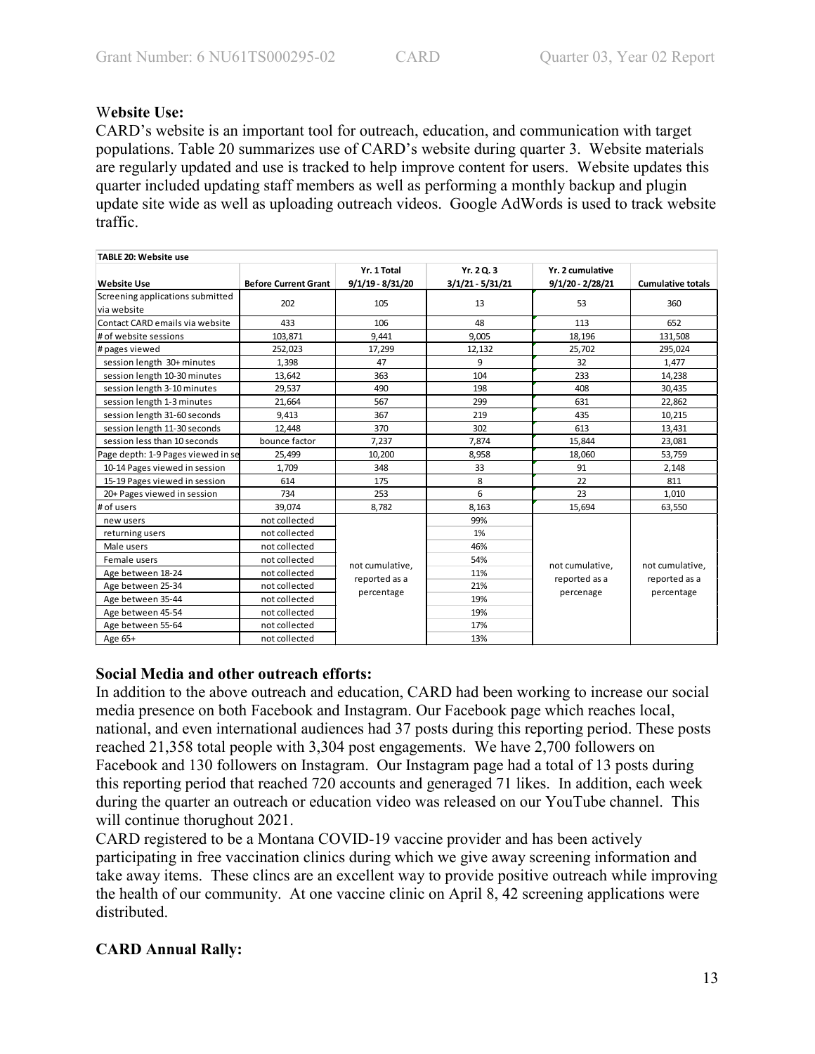## W**ebsite Use:**

CARD's website is an important tool for outreach, education, and communication with target populations. Table 20 summarizes use of CARD's website during quarter 3. Website materials are regularly updated and use is tracked to help improve content for users. Website updates this quarter included updating staff members as well as performing a monthly backup and plugin update site wide as well as uploading outreach videos. Google AdWords is used to track website traffic.

| <b>TABLE 20: Website use</b>                    |                             |                    |                  |                                  |                          |  |  |
|-------------------------------------------------|-----------------------------|--------------------|------------------|----------------------------------|--------------------------|--|--|
|                                                 |                             | Yr. 1 Total        | Yr. 20.3         | Yr. 2 cumulative                 |                          |  |  |
| <b>Website Use</b>                              | <b>Before Current Grant</b> | $9/1/19 - 8/31/20$ | 3/1/21 - 5/31/21 | 9/1/20 - 2/28/21                 | <b>Cumulative totals</b> |  |  |
| Screening applications submitted<br>via website | 202                         | 105                | 13               | 53                               | 360                      |  |  |
| Contact CARD emails via website                 | 433                         | 106                | 48               | 113                              | 652                      |  |  |
| # of website sessions                           | 103,871                     | 9,441              | 9.005            | 18,196                           | 131,508                  |  |  |
| # pages viewed                                  | 252,023                     | 17,299             | 12,132           | 25,702                           | 295,024                  |  |  |
| session length 30+ minutes                      | 1,398                       | 47                 | 9                | 32                               | 1,477                    |  |  |
| session length 10-30 minutes                    | 13,642                      | 363                | 104              | 233                              | 14,238                   |  |  |
| session length 3-10 minutes                     | 29,537                      | 490                | 198              | 408                              | 30,435                   |  |  |
| session length 1-3 minutes                      | 21,664                      | 567                | 299              | 631                              | 22,862                   |  |  |
| session length 31-60 seconds                    | 9,413                       | 367                | 219              | 435                              | 10,215                   |  |  |
| session length 11-30 seconds                    | 12,448                      | 370                | 302              | 613                              | 13,431                   |  |  |
| session less than 10 seconds                    | bounce factor               | 7,237              | 7,874            | 15,844                           | 23,081                   |  |  |
| Page depth: 1-9 Pages viewed in se              | 25,499                      | 10,200             | 8,958            | 18,060                           | 53,759                   |  |  |
| 10-14 Pages viewed in session                   | 1.709                       | 348                | 33               | 91                               | 2,148                    |  |  |
| 15-19 Pages viewed in session                   | 614                         | 175                | 8                | 22                               | 811                      |  |  |
| 20+ Pages viewed in session                     | 734                         | 253                | 6                | 23                               | 1,010                    |  |  |
| # of users                                      | 39,074                      | 8,782              | 8,163            | 15,694                           | 63,550                   |  |  |
| new users                                       | not collected               |                    | 99%              |                                  |                          |  |  |
| returning users                                 | not collected               |                    | 1%               |                                  |                          |  |  |
| Male users                                      | not collected               |                    | 46%              |                                  |                          |  |  |
| Female users                                    | not collected               | not cumulative,    | 54%              | not cumulative,<br>reported as a | not cumulative,          |  |  |
| Age between 18-24                               | not collected               | reported as a      | 11%              |                                  | reported as a            |  |  |
| Age between 25-34                               | not collected               |                    | 21%              |                                  |                          |  |  |
| Age between 35-44                               | not collected               | percentage         | 19%              | percenage                        | percentage               |  |  |
| Age between 45-54                               | not collected               |                    | 19%              |                                  |                          |  |  |
| Age between 55-64                               | not collected               |                    | 17%              |                                  |                          |  |  |
| Age 65+                                         | not collected               | 13%                |                  |                                  |                          |  |  |

# **Social Media and other outreach efforts:**

In addition to the above outreach and education, CARD had been working to increase our social media presence on both Facebook and Instagram. Our Facebook page which reaches local, national, and even international audiences had 37 posts during this reporting period. These posts reached 21,358 total people with 3,304 post engagements. We have 2,700 followers on Facebook and 130 followers on Instagram. Our Instagram page had a total of 13 posts during this reporting period that reached 720 accounts and generaged 71 likes. In addition, each week during the quarter an outreach or education video was released on our YouTube channel. This will continue thorughout 2021.

CARD registered to be a Montana COVID-19 vaccine provider and has been actively participating in free vaccination clinics during which we give away screening information and take away items. These clincs are an excellent way to provide positive outreach while improving the health of our community. At one vaccine clinic on April 8, 42 screening applications were distributed.

# **CARD Annual Rally:**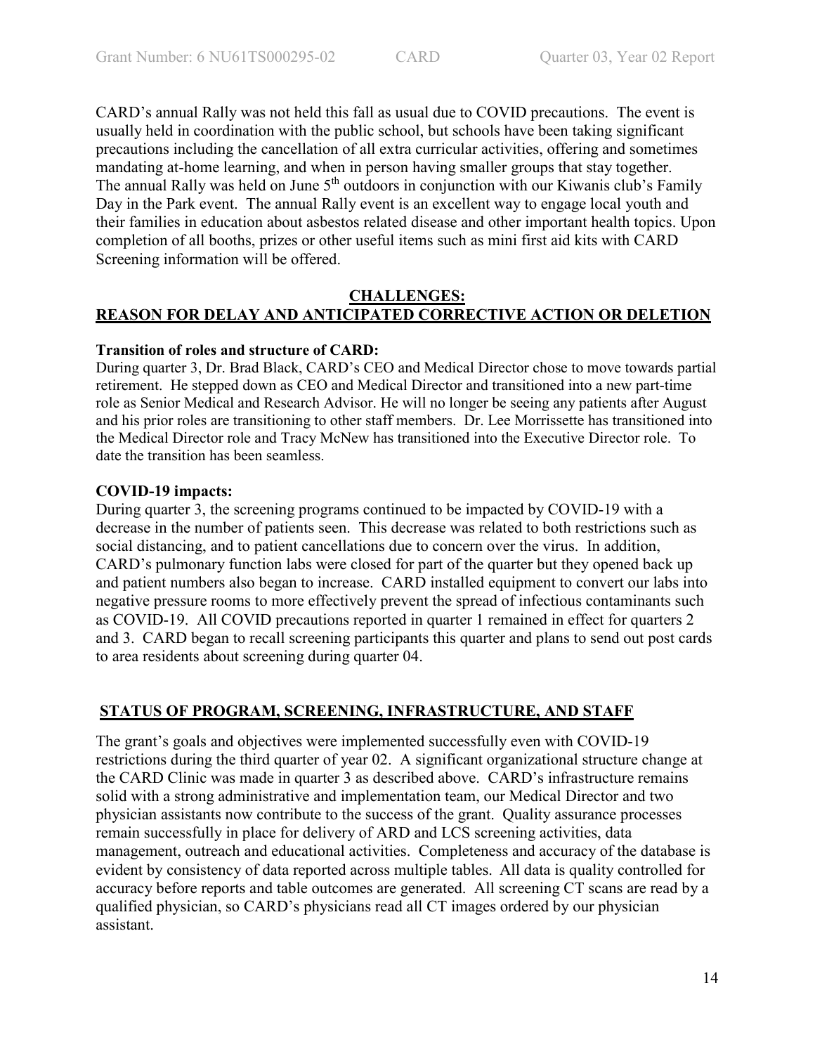CARD's annual Rally was not held this fall as usual due to COVID precautions. The event is usually held in coordination with the public school, but schools have been taking significant precautions including the cancellation of all extra curricular activities, offering and sometimes mandating at-home learning, and when in person having smaller groups that stay together. The annual Rally was held on June 5<sup>th</sup> outdoors in conjunction with our Kiwanis club's Family Day in the Park event. The annual Rally event is an excellent way to engage local youth and their families in education about asbestos related disease and other important health topics. Upon completion of all booths, prizes or other useful items such as mini first aid kits with CARD Screening information will be offered.

### **CHALLENGES: REASON FOR DELAY AND ANTICIPATED CORRECTIVE ACTION OR DELETION**

#### **Transition of roles and structure of CARD:**

During quarter 3, Dr. Brad Black, CARD's CEO and Medical Director chose to move towards partial retirement. He stepped down as CEO and Medical Director and transitioned into a new part-time role as Senior Medical and Research Advisor. He will no longer be seeing any patients after August and his prior roles are transitioning to other staff members. Dr. Lee Morrissette has transitioned into the Medical Director role and Tracy McNew has transitioned into the Executive Director role. To date the transition has been seamless.

#### **COVID-19 impacts:**

During quarter 3, the screening programs continued to be impacted by COVID-19 with a decrease in the number of patients seen. This decrease was related to both restrictions such as social distancing, and to patient cancellations due to concern over the virus. In addition, CARD's pulmonary function labs were closed for part of the quarter but they opened back up and patient numbers also began to increase. CARD installed equipment to convert our labs into negative pressure rooms to more effectively prevent the spread of infectious contaminants such as COVID-19. All COVID precautions reported in quarter 1 remained in effect for quarters 2 and 3. CARD began to recall screening participants this quarter and plans to send out post cards to area residents about screening during quarter 04.

#### **STATUS OF PROGRAM, SCREENING, INFRASTRUCTURE, AND STAFF**

The grant's goals and objectives were implemented successfully even with COVID-19 restrictions during the third quarter of year 02. A significant organizational structure change at the CARD Clinic was made in quarter 3 as described above. CARD's infrastructure remains solid with a strong administrative and implementation team, our Medical Director and two physician assistants now contribute to the success of the grant. Quality assurance processes remain successfully in place for delivery of ARD and LCS screening activities, data management, outreach and educational activities. Completeness and accuracy of the database is evident by consistency of data reported across multiple tables. All data is quality controlled for accuracy before reports and table outcomes are generated. All screening CT scans are read by a qualified physician, so CARD's physicians read all CT images ordered by our physician assistant.